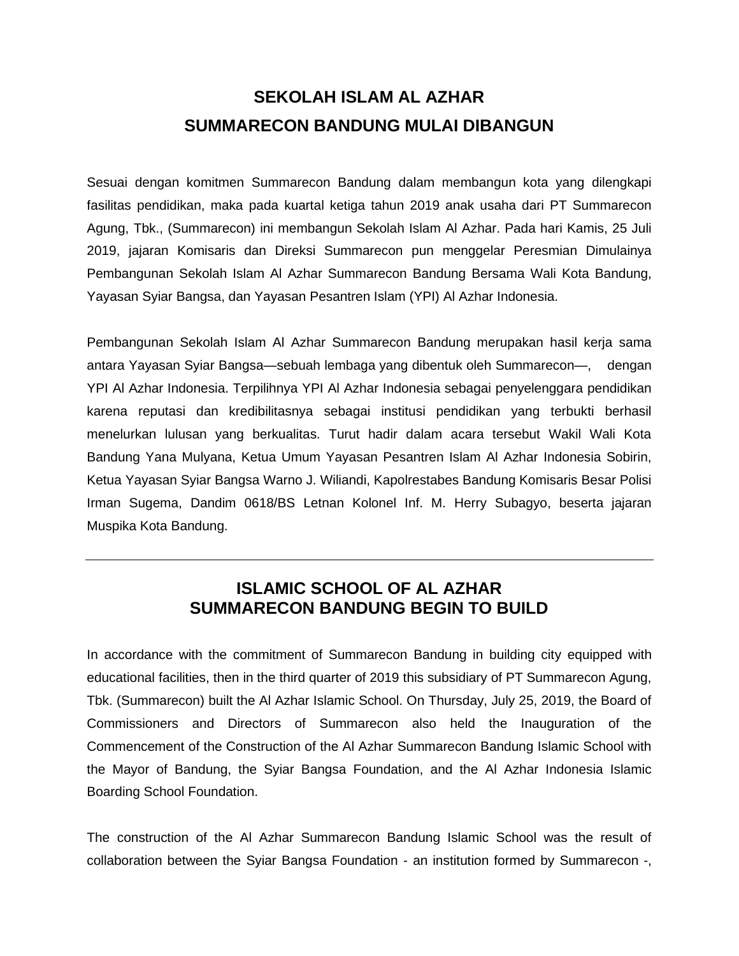## **SEKOLAH ISLAM AL AZHAR SUMMARECON BANDUNG MULAI DIBANGUN**

Sesuai dengan komitmen Summarecon Bandung dalam membangun kota yang dilengkapi fasilitas pendidikan, maka pada kuartal ketiga tahun 2019 anak usaha dari PT Summarecon Agung, Tbk., (Summarecon) ini membangun Sekolah Islam Al Azhar. Pada hari Kamis, 25 Juli 2019, jajaran Komisaris dan Direksi Summarecon pun menggelar Peresmian Dimulainya Pembangunan Sekolah Islam Al Azhar Summarecon Bandung Bersama Wali Kota Bandung, Yayasan Syiar Bangsa, dan Yayasan Pesantren Islam (YPI) Al Azhar Indonesia.

Pembangunan Sekolah Islam Al Azhar Summarecon Bandung merupakan hasil kerja sama antara Yayasan Syiar Bangsa—sebuah lembaga yang dibentuk oleh Summarecon—, dengan YPI Al Azhar Indonesia. Terpilihnya YPI Al Azhar Indonesia sebagai penyelenggara pendidikan karena reputasi dan kredibilitasnya sebagai institusi pendidikan yang terbukti berhasil menelurkan lulusan yang berkualitas. Turut hadir dalam acara tersebut Wakil Wali Kota Bandung Yana Mulyana, Ketua Umum Yayasan Pesantren Islam Al Azhar Indonesia Sobirin, Ketua Yayasan Syiar Bangsa Warno J. Wiliandi, Kapolrestabes Bandung Komisaris Besar Polisi Irman Sugema, Dandim 0618/BS Letnan Kolonel Inf. M. Herry Subagyo, beserta jajaran Muspika Kota Bandung.

## **ISLAMIC SCHOOL OF AL AZHAR SUMMARECON BANDUNG BEGIN TO BUILD**

In accordance with the commitment of Summarecon Bandung in building city equipped with educational facilities, then in the third quarter of 2019 this subsidiary of PT Summarecon Agung, Tbk. (Summarecon) built the Al Azhar Islamic School. On Thursday, July 25, 2019, the Board of Commissioners and Directors of Summarecon also held the Inauguration of the Commencement of the Construction of the Al Azhar Summarecon Bandung Islamic School with the Mayor of Bandung, the Syiar Bangsa Foundation, and the Al Azhar Indonesia Islamic Boarding School Foundation.

The construction of the Al Azhar Summarecon Bandung Islamic School was the result of collaboration between the Syiar Bangsa Foundation - an institution formed by Summarecon -,